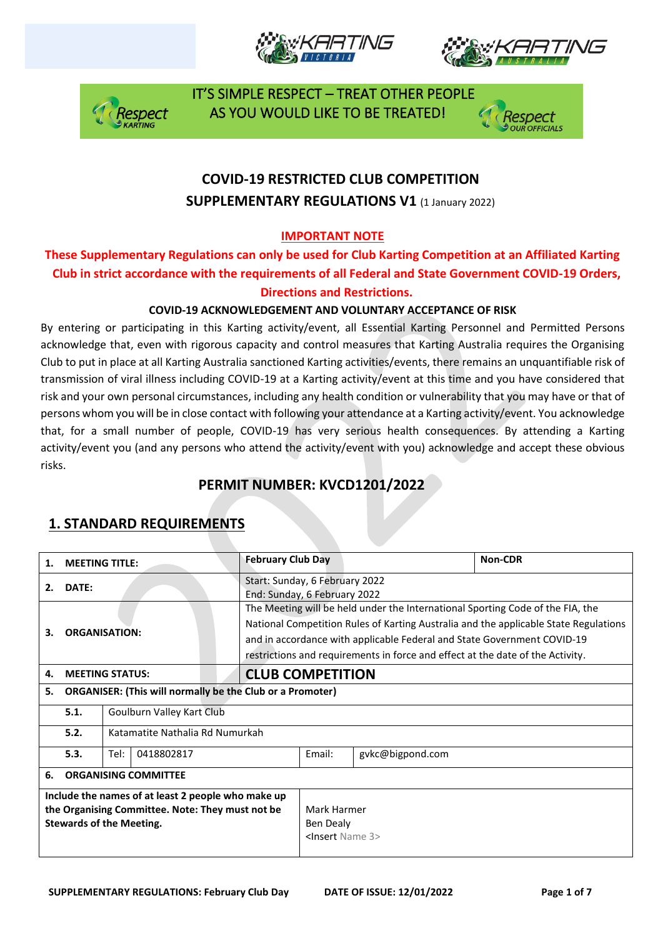







## **COVID-19 RESTRICTED CLUB COMPETITION SUPPLEMENTARY REGULATIONS V1 (1 January 2022)**

### **IMPORTANT NOTE**

### **These Supplementary Regulations can only be used for Club Karting Competition at an Affiliated Karting Club in strict accordance with the requirements of all Federal and State Government COVID-19 Orders, Directions and Restrictions.**

### **COVID-19 ACKNOWLEDGEMENT AND VOLUNTARY ACCEPTANCE OF RISK**

By entering or participating in this Karting activity/event, all Essential Karting Personnel and Permitted Persons acknowledge that, even with rigorous capacity and control measures that Karting Australia requires the Organising Club to put in place at all Karting Australia sanctioned Karting activities/events, there remains an unquantifiable risk of transmission of viral illness including COVID-19 at a Karting activity/event at this time and you have considered that risk and your own personal circumstances, including any health condition or vulnerability that you may have or that of persons whom you will be in close contact with following your attendance at a Karting activity/event. You acknowledge that, for a small number of people, COVID-19 has very serious health consequences. By attending a Karting activity/event you (and any persons who attend the activity/event with you) acknowledge and accept these obvious risks.

## **PERMIT NUMBER: KVCD1201/2022**

| 1.                                                                                                                                        | <b>MEETING TITLE:</b>             |                                                                  |  | <b>February Club Day</b> |                                                                                                                                                                                                                                                                                                                                     |        | Non-CDR          |  |  |
|-------------------------------------------------------------------------------------------------------------------------------------------|-----------------------------------|------------------------------------------------------------------|--|--------------------------|-------------------------------------------------------------------------------------------------------------------------------------------------------------------------------------------------------------------------------------------------------------------------------------------------------------------------------------|--------|------------------|--|--|
| DATE:<br>2.                                                                                                                               |                                   |                                                                  |  |                          | Start: Sunday, 6 February 2022<br>End: Sunday, 6 February 2022                                                                                                                                                                                                                                                                      |        |                  |  |  |
| <b>ORGANISATION:</b><br>З.                                                                                                                |                                   |                                                                  |  |                          | The Meeting will be held under the International Sporting Code of the FIA, the<br>National Competition Rules of Karting Australia and the applicable State Regulations<br>and in accordance with applicable Federal and State Government COVID-19<br>restrictions and requirements in force and effect at the date of the Activity. |        |                  |  |  |
| 4.                                                                                                                                        | <b>MEETING STATUS:</b>            |                                                                  |  | <b>CLUB COMPETITION</b>  |                                                                                                                                                                                                                                                                                                                                     |        |                  |  |  |
| 5.                                                                                                                                        |                                   | <b>ORGANISER: (This will normally be the Club or a Promoter)</b> |  |                          |                                                                                                                                                                                                                                                                                                                                     |        |                  |  |  |
|                                                                                                                                           | 5.1.<br>Goulburn Valley Kart Club |                                                                  |  |                          |                                                                                                                                                                                                                                                                                                                                     |        |                  |  |  |
|                                                                                                                                           | 5.2.                              | Katamatite Nathalia Rd Numurkah                                  |  |                          |                                                                                                                                                                                                                                                                                                                                     |        |                  |  |  |
|                                                                                                                                           | 5.3.                              | 0418802817<br>Tel:                                               |  |                          |                                                                                                                                                                                                                                                                                                                                     | Email: | gvkc@bigpond.com |  |  |
| 6.                                                                                                                                        | <b>ORGANISING COMMITTEE</b>       |                                                                  |  |                          |                                                                                                                                                                                                                                                                                                                                     |        |                  |  |  |
| Include the names of at least 2 people who make up<br>the Organising Committee. Note: They must not be<br><b>Stewards of the Meeting.</b> |                                   |                                                                  |  |                          | Mark Harmer<br>Ben Dealy<br><lnsert 3="" name=""></lnsert>                                                                                                                                                                                                                                                                          |        |                  |  |  |

## **1. STANDARD REQUIREMENTS**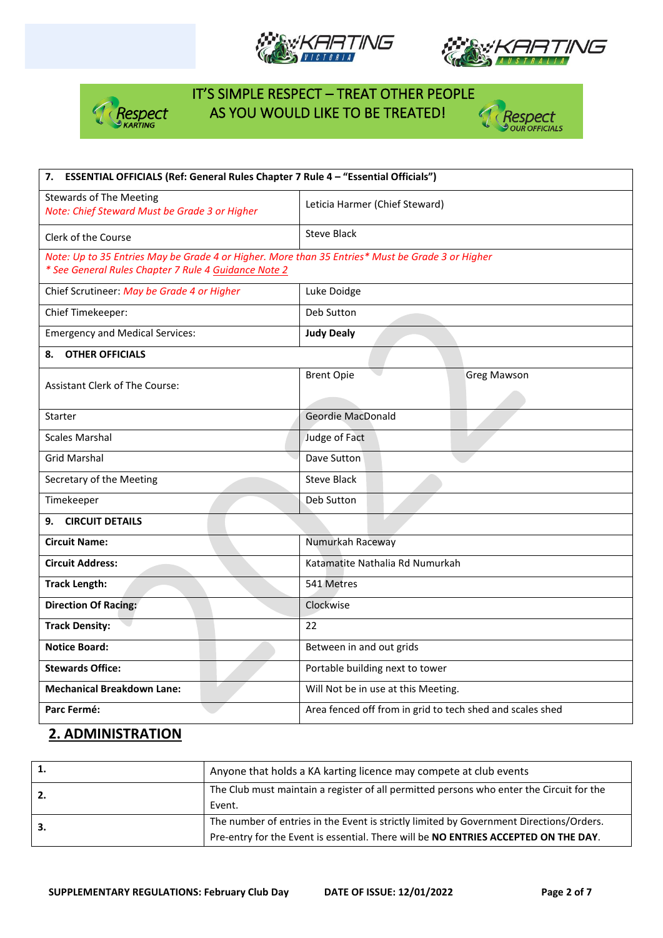







| 7. ESSENTIAL OFFICIALS (Ref: General Rules Chapter 7 Rule 4 - "Essential Officials")             |                                                           |  |  |  |
|--------------------------------------------------------------------------------------------------|-----------------------------------------------------------|--|--|--|
| <b>Stewards of The Meeting</b><br>Note: Chief Steward Must be Grade 3 or Higher                  | Leticia Harmer (Chief Steward)                            |  |  |  |
| Clerk of the Course                                                                              | <b>Steve Black</b>                                        |  |  |  |
| Note: Up to 35 Entries May be Grade 4 or Higher. More than 35 Entries* Must be Grade 3 or Higher |                                                           |  |  |  |
| * See General Rules Chapter 7 Rule 4 Guidance Note 2                                             |                                                           |  |  |  |
| Chief Scrutineer: May be Grade 4 or Higher                                                       | Luke Doidge                                               |  |  |  |
| Chief Timekeeper:                                                                                | Deb Sutton                                                |  |  |  |
| <b>Emergency and Medical Services:</b>                                                           | <b>Judy Dealy</b>                                         |  |  |  |
| <b>OTHER OFFICIALS</b><br>8.                                                                     |                                                           |  |  |  |
|                                                                                                  | <b>Brent Opie</b><br><b>Greg Mawson</b>                   |  |  |  |
| <b>Assistant Clerk of The Course:</b>                                                            |                                                           |  |  |  |
| <b>Starter</b>                                                                                   | <b>Geordie MacDonald</b>                                  |  |  |  |
| <b>Scales Marshal</b>                                                                            | Judge of Fact                                             |  |  |  |
| <b>Grid Marshal</b>                                                                              | Dave Sutton                                               |  |  |  |
| Secretary of the Meeting                                                                         | <b>Steve Black</b>                                        |  |  |  |
| Timekeeper                                                                                       | Deb Sutton                                                |  |  |  |
| 9. CIRCUIT DETAILS                                                                               |                                                           |  |  |  |
| <b>Circuit Name:</b>                                                                             | Numurkah Raceway                                          |  |  |  |
| <b>Circuit Address:</b>                                                                          | Katamatite Nathalia Rd Numurkah                           |  |  |  |
| <b>Track Length:</b>                                                                             | 541 Metres                                                |  |  |  |
| <b>Direction Of Racing:</b>                                                                      | Clockwise                                                 |  |  |  |
| <b>Track Density:</b>                                                                            | 22                                                        |  |  |  |
| <b>Notice Board:</b>                                                                             | Between in and out grids                                  |  |  |  |
| <b>Stewards Office:</b>                                                                          | Portable building next to tower                           |  |  |  |
| <b>Mechanical Breakdown Lane:</b>                                                                | Will Not be in use at this Meeting.                       |  |  |  |
| Parc Fermé:                                                                                      | Area fenced off from in grid to tech shed and scales shed |  |  |  |

## **2. ADMINISTRATION**

|    | Anyone that holds a KA karting licence may compete at club events                                                                                                              |
|----|--------------------------------------------------------------------------------------------------------------------------------------------------------------------------------|
| 2. | The Club must maintain a register of all permitted persons who enter the Circuit for the<br>Event.                                                                             |
| 3. | The number of entries in the Event is strictly limited by Government Directions/Orders.<br>Pre-entry for the Event is essential. There will be NO ENTRIES ACCEPTED ON THE DAY. |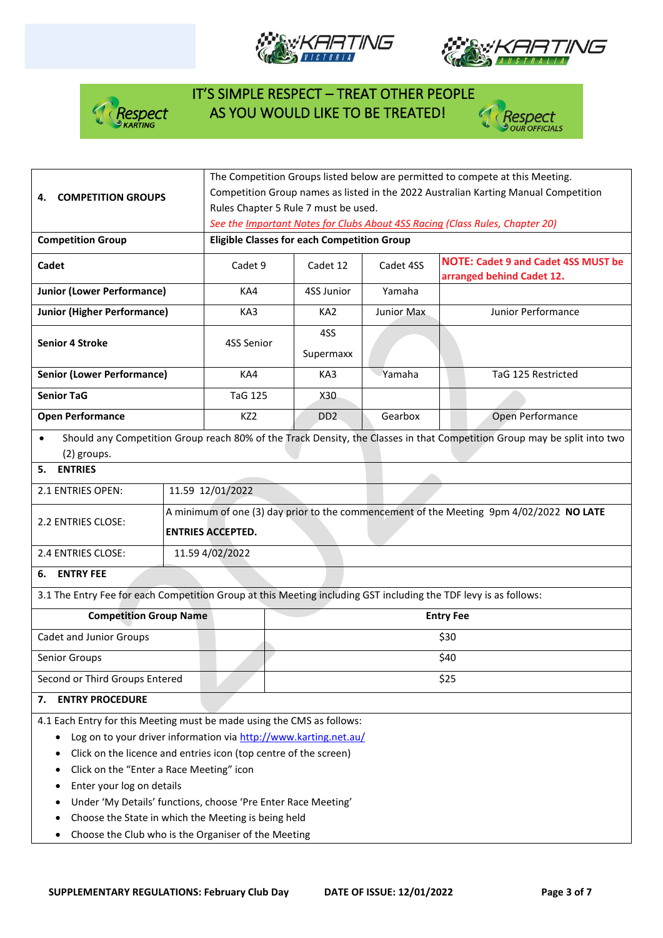







| <b>COMPETITION GROUPS</b><br>4.                                                                                                                                                                                                                                                                                                                                                                                                                                             | The Competition Groups listed below are permitted to compete at this Meeting.<br>Competition Group names as listed in the 2022 Australian Karting Manual Competition<br>Rules Chapter 5 Rule 7 must be used. |                                                                                                                     |                             |            |                                                                                                                          |  |
|-----------------------------------------------------------------------------------------------------------------------------------------------------------------------------------------------------------------------------------------------------------------------------------------------------------------------------------------------------------------------------------------------------------------------------------------------------------------------------|--------------------------------------------------------------------------------------------------------------------------------------------------------------------------------------------------------------|---------------------------------------------------------------------------------------------------------------------|-----------------------------|------------|--------------------------------------------------------------------------------------------------------------------------|--|
|                                                                                                                                                                                                                                                                                                                                                                                                                                                                             | See the Important Notes for Clubs About 4SS Racing (Class Rules, Chapter 20)                                                                                                                                 |                                                                                                                     |                             |            |                                                                                                                          |  |
| <b>Competition Group</b>                                                                                                                                                                                                                                                                                                                                                                                                                                                    |                                                                                                                                                                                                              | <b>Eligible Classes for each Competition Group</b>                                                                  |                             |            |                                                                                                                          |  |
| Cadet                                                                                                                                                                                                                                                                                                                                                                                                                                                                       |                                                                                                                                                                                                              | Cadet 9                                                                                                             | Cadet 12                    | Cadet 4SS  | <b>NOTE: Cadet 9 and Cadet 4SS MUST be</b><br>arranged behind Cadet 12.                                                  |  |
| <b>Junior (Lower Performance)</b>                                                                                                                                                                                                                                                                                                                                                                                                                                           |                                                                                                                                                                                                              | KA4                                                                                                                 | 4SS Junior                  | Yamaha     |                                                                                                                          |  |
| <b>Junior (Higher Performance)</b>                                                                                                                                                                                                                                                                                                                                                                                                                                          |                                                                                                                                                                                                              | KA3                                                                                                                 | KA <sub>2</sub>             | Junior Max | Junior Performance                                                                                                       |  |
| <b>Senior 4 Stroke</b>                                                                                                                                                                                                                                                                                                                                                                                                                                                      |                                                                                                                                                                                                              | 4SS Senior                                                                                                          | 4SS<br>Supermaxx            |            |                                                                                                                          |  |
| <b>Senior (Lower Performance)</b>                                                                                                                                                                                                                                                                                                                                                                                                                                           |                                                                                                                                                                                                              | KA4                                                                                                                 | KA3                         | Yamaha     | TaG 125 Restricted                                                                                                       |  |
| <b>Senior TaG</b>                                                                                                                                                                                                                                                                                                                                                                                                                                                           |                                                                                                                                                                                                              | <b>TaG 125</b>                                                                                                      | X30                         |            |                                                                                                                          |  |
| <b>Open Performance</b>                                                                                                                                                                                                                                                                                                                                                                                                                                                     |                                                                                                                                                                                                              | KZ <sub>2</sub>                                                                                                     | D <sub>D</sub> <sub>2</sub> | Gearbox    | Open Performance                                                                                                         |  |
| $\bullet$<br>(2) groups.                                                                                                                                                                                                                                                                                                                                                                                                                                                    |                                                                                                                                                                                                              |                                                                                                                     |                             |            | Should any Competition Group reach 80% of the Track Density, the Classes in that Competition Group may be split into two |  |
| 5. ENTRIES                                                                                                                                                                                                                                                                                                                                                                                                                                                                  |                                                                                                                                                                                                              |                                                                                                                     |                             |            |                                                                                                                          |  |
| 2.1 ENTRIES OPEN:                                                                                                                                                                                                                                                                                                                                                                                                                                                           |                                                                                                                                                                                                              | 11.59 12/01/2022                                                                                                    |                             |            |                                                                                                                          |  |
| 2.2 ENTRIES CLOSE:                                                                                                                                                                                                                                                                                                                                                                                                                                                          |                                                                                                                                                                                                              | A minimum of one (3) day prior to the commencement of the Meeting 9pm 4/02/2022 NO LATE<br><b>ENTRIES ACCEPTED.</b> |                             |            |                                                                                                                          |  |
| 2.4 ENTRIES CLOSE:                                                                                                                                                                                                                                                                                                                                                                                                                                                          |                                                                                                                                                                                                              | 11.59 4/02/2022                                                                                                     |                             |            |                                                                                                                          |  |
| <b>ENTRY FEE</b><br>6.                                                                                                                                                                                                                                                                                                                                                                                                                                                      |                                                                                                                                                                                                              |                                                                                                                     |                             |            |                                                                                                                          |  |
| 3.1 The Entry Fee for each Competition Group at this Meeting including GST including the TDF levy is as follows:                                                                                                                                                                                                                                                                                                                                                            |                                                                                                                                                                                                              |                                                                                                                     |                             |            |                                                                                                                          |  |
| <b>Competition Group Name</b>                                                                                                                                                                                                                                                                                                                                                                                                                                               |                                                                                                                                                                                                              |                                                                                                                     |                             |            | <b>Entry Fee</b>                                                                                                         |  |
| Cadet and Junior Groups                                                                                                                                                                                                                                                                                                                                                                                                                                                     |                                                                                                                                                                                                              |                                                                                                                     |                             |            | \$30                                                                                                                     |  |
| Senior Groups                                                                                                                                                                                                                                                                                                                                                                                                                                                               |                                                                                                                                                                                                              | \$40                                                                                                                |                             |            |                                                                                                                          |  |
| Second or Third Groups Entered                                                                                                                                                                                                                                                                                                                                                                                                                                              |                                                                                                                                                                                                              |                                                                                                                     |                             | \$25       |                                                                                                                          |  |
| <b>ENTRY PROCEDURE</b><br>7.                                                                                                                                                                                                                                                                                                                                                                                                                                                |                                                                                                                                                                                                              |                                                                                                                     |                             |            |                                                                                                                          |  |
| 4.1 Each Entry for this Meeting must be made using the CMS as follows:<br>Log on to your driver information via http://www.karting.net.au/<br>Click on the licence and entries icon (top centre of the screen)<br>Click on the "Enter a Race Meeting" icon<br>٠<br>Enter your log on details<br>Under 'My Details' functions, choose 'Pre Enter Race Meeting'<br>Choose the State in which the Meeting is being held<br>Choose the Club who is the Organiser of the Meeting |                                                                                                                                                                                                              |                                                                                                                     |                             |            |                                                                                                                          |  |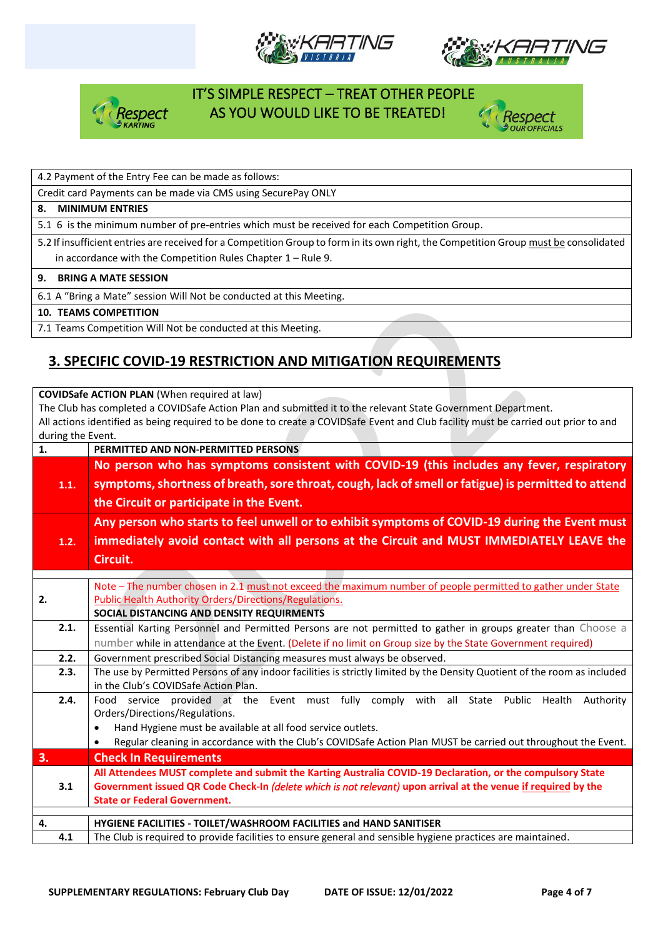







4.2 Payment of the Entry Fee can be made as follows:

Credit card Payments can be made via CMS using SecurePay ONLY

#### **8. MINIMUM ENTRIES**

5.1 6 is the minimum number of pre-entries which must be received for each Competition Group.

5.2 If insufficient entries are received for a Competition Group to form in its own right, the Competition Group must be consolidated in accordance with the Competition Rules Chapter 1 – Rule 9.

#### **9. BRING A MATE SESSION**

6.1 A "Bring a Mate" session Will Not be conducted at this Meeting.

#### **10. TEAMS COMPETITION**

7.1 Teams Competition Will Not be conducted at this Meeting.

## **3. SPECIFIC COVID-19 RESTRICTION AND MITIGATION REQUIREMENTS**

**COVIDSafe ACTION PLAN** (When required at law) The Club has completed a COVIDSafe Action Plan and submitted it to the relevant State Government Department. All actions identified as being required to be done to create a COVIDSafe Event and Club facility must be carried out prior to and during the Event. **1. PERMITTED AND NON-PERMITTED PERSONS 1.1. No person who has symptoms consistent with COVID-19 (this includes any fever, respiratory symptoms, shortness of breath, sore throat, cough, lack of smell or fatigue) is permitted to attend the Circuit or participate in the Event. 1.2. Any person who starts to feel unwell or to exhibit symptoms of COVID-19 during the Event must immediately avoid contact with all persons at the Circuit and MUST IMMEDIATELY LEAVE the Circuit. 2.** Note – The number chosen in 2.1 must not exceed the maximum number of people permitted to gather under State Public Health Authority Orders/Directions/Regulations. **SOCIAL DISTANCING AND DENSITY REQUIRMENTS 2.1.** Essential Karting Personnel and Permitted Persons are not permitted to gather in groups greater than Choose a number while in attendance at the Event. (Delete if no limit on Group size by the State Government required) **2.2.** Government prescribed Social Distancing measures must always be observed. **2.3.** The use by Permitted Persons of any indoor facilities is strictly limited by the Density Quotient of the room as included in the Club's COVIDSafe Action Plan. **2.4.** Food service provided at the Event must fully comply with all State Public Health Authority Orders/Directions/Regulations. • Hand Hygiene must be available at all food service outlets. • Regular cleaning in accordance with the Club's COVIDSafe Action Plan MUST be carried out throughout the Event. **3. Check In Requirements 3.1 All Attendees MUST complete and submit the Karting Australia COVID-19 Declaration, or the compulsory State Government issued QR Code Check-In** *(delete which is not relevant)* **upon arrival at the venue if required by the State or Federal Government. 4. HYGIENE FACILITIES - TOILET/WASHROOM FACILITIES and HAND SANITISER 4.1** The Club is required to provide facilities to ensure general and sensible hygiene practices are maintained.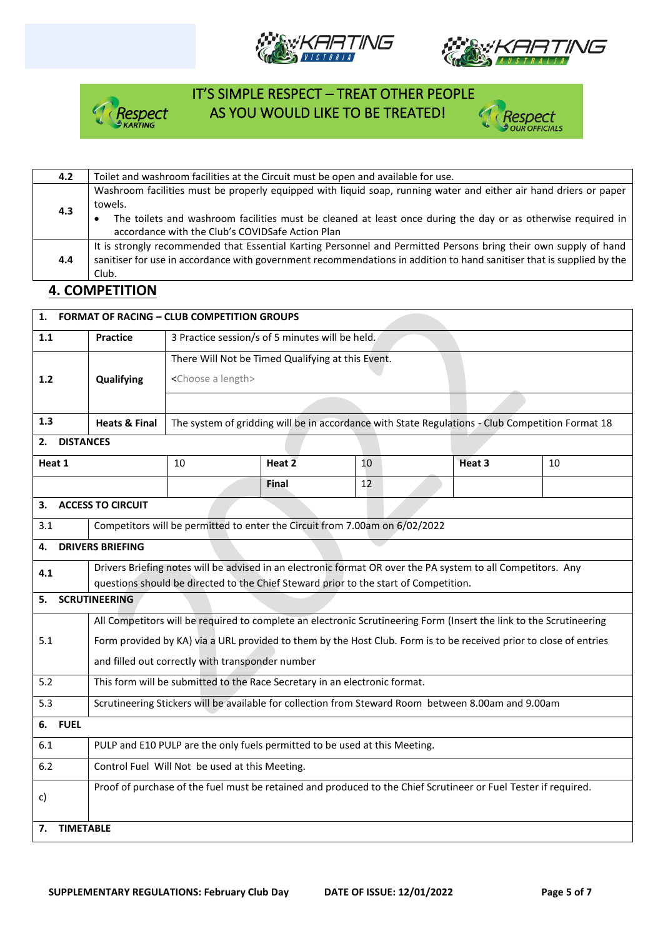







| 4.2       | Toilet and washroom facilities at the Circuit must be open and available for use.                                     |
|-----------|-----------------------------------------------------------------------------------------------------------------------|
| towels.   | Washroom facilities must be properly equipped with liquid soap, running water and either air hand driers or paper     |
| 4.3       | The toilets and washroom facilities must be cleaned at least once during the day or as otherwise required in          |
| $\bullet$ | accordance with the Club's COVIDSafe Action Plan                                                                      |
| 4.4       | It is strongly recommended that Essential Karting Personnel and Permitted Persons bring their own supply of hand      |
| Club.     | sanitiser for use in accordance with government recommendations in addition to hand sanitiser that is supplied by the |

### **4. COMPETITION**

| 1.                                               | <b>FORMAT OF RACING - CLUB COMPETITION GROUPS</b>                                                               |                                                 |                                                   |                                                                             |                                                                                                                     |    |  |
|--------------------------------------------------|-----------------------------------------------------------------------------------------------------------------|-------------------------------------------------|---------------------------------------------------|-----------------------------------------------------------------------------|---------------------------------------------------------------------------------------------------------------------|----|--|
| 1.1                                              | <b>Practice</b>                                                                                                 | 3 Practice session/s of 5 minutes will be held. |                                                   |                                                                             |                                                                                                                     |    |  |
| 1.2                                              | Qualifying                                                                                                      | <choose a="" length=""></choose>                | There Will Not be Timed Qualifying at this Event. |                                                                             |                                                                                                                     |    |  |
|                                                  |                                                                                                                 |                                                 |                                                   |                                                                             |                                                                                                                     |    |  |
| 1.3                                              | <b>Heats &amp; Final</b>                                                                                        |                                                 |                                                   |                                                                             | The system of gridding will be in accordance with State Regulations - Club Competition Format 18                    |    |  |
| <b>DISTANCES</b><br>2.                           |                                                                                                                 |                                                 |                                                   |                                                                             |                                                                                                                     |    |  |
| Heat 1                                           |                                                                                                                 | 10                                              | Heat $2$                                          | 10                                                                          | Heat 3                                                                                                              | 10 |  |
|                                                  |                                                                                                                 |                                                 | Final                                             | 12                                                                          |                                                                                                                     |    |  |
| 3.                                               | <b>ACCESS TO CIRCUIT</b>                                                                                        |                                                 |                                                   |                                                                             |                                                                                                                     |    |  |
| 3.1                                              |                                                                                                                 |                                                 |                                                   | Competitors will be permitted to enter the Circuit from 7.00am on 6/02/2022 |                                                                                                                     |    |  |
| 4.                                               | <b>DRIVERS BRIEFING</b>                                                                                         |                                                 |                                                   |                                                                             |                                                                                                                     |    |  |
| 4.1                                              | Drivers Briefing notes will be advised in an electronic format OR over the PA system to all Competitors. Any    |                                                 |                                                   |                                                                             |                                                                                                                     |    |  |
|                                                  | questions should be directed to the Chief Steward prior to the start of Competition.<br><b>SCRUTINEERING</b>    |                                                 |                                                   |                                                                             |                                                                                                                     |    |  |
| 5.                                               |                                                                                                                 |                                                 |                                                   |                                                                             |                                                                                                                     |    |  |
|                                                  |                                                                                                                 |                                                 |                                                   |                                                                             | All Competitors will be required to complete an electronic Scrutineering Form (Insert the link to the Scrutineering |    |  |
| 5.1                                              |                                                                                                                 |                                                 |                                                   |                                                                             | Form provided by KA) via a URL provided to them by the Host Club. Form is to be received prior to close of entries  |    |  |
| and filled out correctly with transponder number |                                                                                                                 |                                                 |                                                   |                                                                             |                                                                                                                     |    |  |
| 5.2                                              | This form will be submitted to the Race Secretary in an electronic format.                                      |                                                 |                                                   |                                                                             |                                                                                                                     |    |  |
| 5.3                                              | Scrutineering Stickers will be available for collection from Steward Room between 8.00am and 9.00am             |                                                 |                                                   |                                                                             |                                                                                                                     |    |  |
| <b>FUEL</b><br>6.                                |                                                                                                                 |                                                 |                                                   |                                                                             |                                                                                                                     |    |  |
| 6.1                                              | PULP and E10 PULP are the only fuels permitted to be used at this Meeting.                                      |                                                 |                                                   |                                                                             |                                                                                                                     |    |  |
| 6.2                                              | Control Fuel Will Not be used at this Meeting.                                                                  |                                                 |                                                   |                                                                             |                                                                                                                     |    |  |
| c)                                               | Proof of purchase of the fuel must be retained and produced to the Chief Scrutineer or Fuel Tester if required. |                                                 |                                                   |                                                                             |                                                                                                                     |    |  |
| 7.                                               | <b>TIMETABLE</b>                                                                                                |                                                 |                                                   |                                                                             |                                                                                                                     |    |  |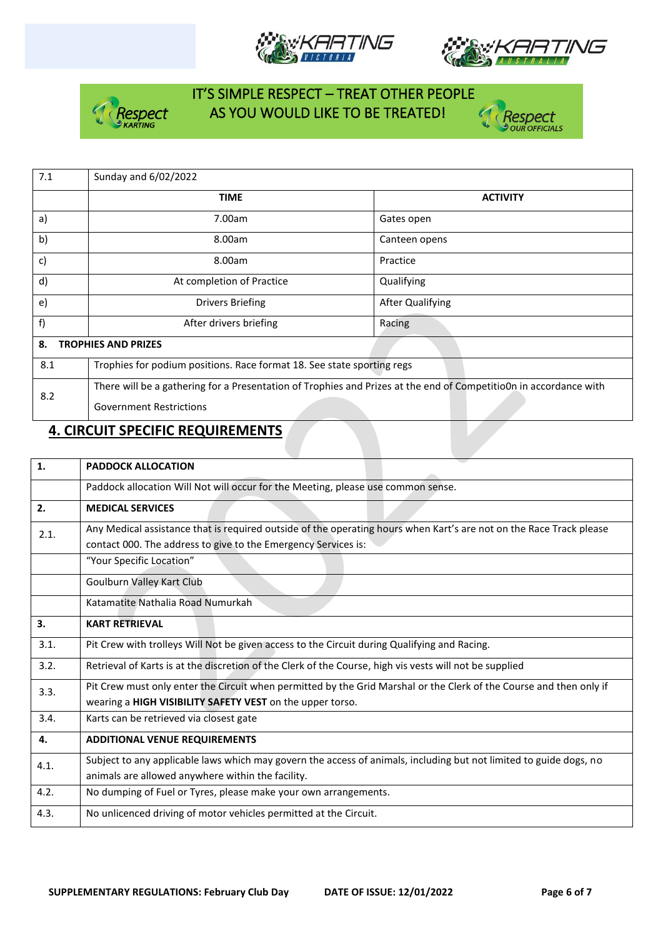







| 7.1                              | Sunday and 6/02/2022                                                                                              |                         |  |  |  |  |
|----------------------------------|-------------------------------------------------------------------------------------------------------------------|-------------------------|--|--|--|--|
|                                  | <b>TIME</b>                                                                                                       | <b>ACTIVITY</b>         |  |  |  |  |
| a)                               | 7.00am                                                                                                            | Gates open              |  |  |  |  |
| b)                               | 8.00am                                                                                                            | Canteen opens           |  |  |  |  |
| c)                               | 8.00am                                                                                                            | Practice                |  |  |  |  |
| d)                               | At completion of Practice                                                                                         | Qualifying              |  |  |  |  |
| e)                               | <b>Drivers Briefing</b>                                                                                           | <b>After Qualifying</b> |  |  |  |  |
| f)                               | After drivers briefing                                                                                            | Racing                  |  |  |  |  |
| 8.<br><b>TROPHIES AND PRIZES</b> |                                                                                                                   |                         |  |  |  |  |
| 8.1                              | Trophies for podium positions. Race format 18. See state sporting regs                                            |                         |  |  |  |  |
| 8.2                              | There will be a gathering for a Presentation of Trophies and Prizes at the end of CompetitioOn in accordance with |                         |  |  |  |  |
|                                  | <b>Government Restrictions</b>                                                                                    |                         |  |  |  |  |

## **4. CIRCUIT SPECIFIC REQUIREMENTS**

| 1.   | <b>PADDOCK ALLOCATION</b>                                                                                                                                                             |  |  |  |
|------|---------------------------------------------------------------------------------------------------------------------------------------------------------------------------------------|--|--|--|
|      | Paddock allocation Will Not will occur for the Meeting, please use common sense.                                                                                                      |  |  |  |
| 2.   | <b>MEDICAL SERVICES</b>                                                                                                                                                               |  |  |  |
| 2.1. | Any Medical assistance that is required outside of the operating hours when Kart's are not on the Race Track please<br>contact 000. The address to give to the Emergency Services is: |  |  |  |
|      | "Your Specific Location"                                                                                                                                                              |  |  |  |
|      | Goulburn Valley Kart Club                                                                                                                                                             |  |  |  |
|      | Katamatite Nathalia Road Numurkah                                                                                                                                                     |  |  |  |
| 3.   | <b>KART RETRIEVAL</b>                                                                                                                                                                 |  |  |  |
| 3.1. | Pit Crew with trolleys Will Not be given access to the Circuit during Qualifying and Racing.                                                                                          |  |  |  |
| 3.2. | Retrieval of Karts is at the discretion of the Clerk of the Course, high vis vests will not be supplied                                                                               |  |  |  |
| 3.3. | Pit Crew must only enter the Circuit when permitted by the Grid Marshal or the Clerk of the Course and then only if<br>wearing a HIGH VISIBILITY SAFETY VEST on the upper torso.      |  |  |  |
| 3.4. | Karts can be retrieved via closest gate                                                                                                                                               |  |  |  |
| 4.   | <b>ADDITIONAL VENUE REQUIREMENTS</b>                                                                                                                                                  |  |  |  |
| 4.1. | Subject to any applicable laws which may govern the access of animals, including but not limited to guide dogs, no<br>animals are allowed anywhere within the facility.               |  |  |  |
| 4.2. | No dumping of Fuel or Tyres, please make your own arrangements.                                                                                                                       |  |  |  |
| 4.3. | No unlicenced driving of motor vehicles permitted at the Circuit.                                                                                                                     |  |  |  |